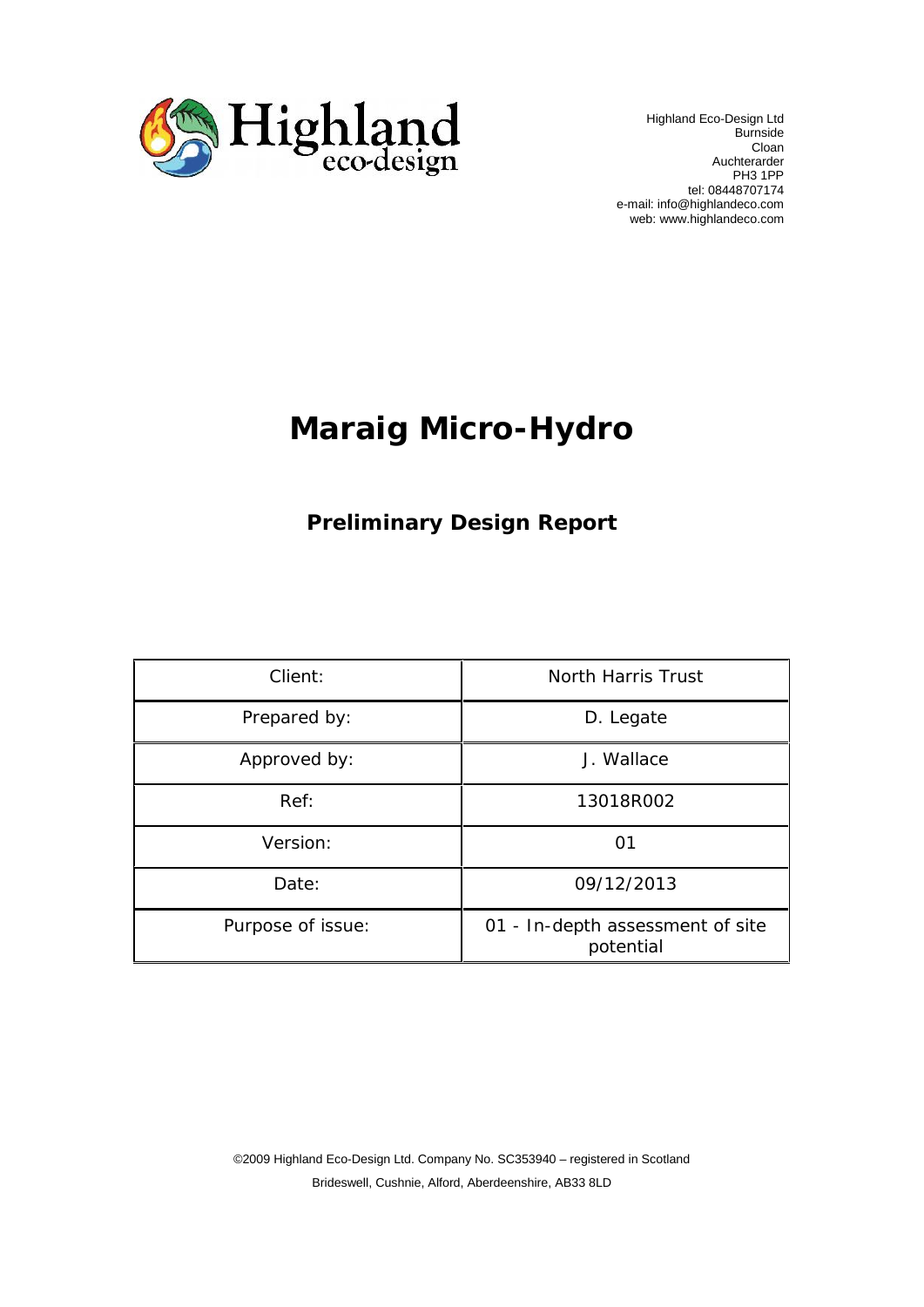

 Highland Eco-Design Ltd Burnside Cloan Auchterarder PH3 1PP tel: 08448707174 e-mail: info@highlandeco.com web: www.highlandeco.com

# **Maraig Micro-Hydro**

#### **Preliminary Design Report**

| Client:           | North Harris Trust                            |
|-------------------|-----------------------------------------------|
| Prepared by:      | D. Legate                                     |
| Approved by:      | J. Wallace                                    |
| Ref:              | 13018R002                                     |
| Version:          | 01                                            |
| Date:             | 09/12/2013                                    |
| Purpose of issue: | 01 - In-depth assessment of site<br>potential |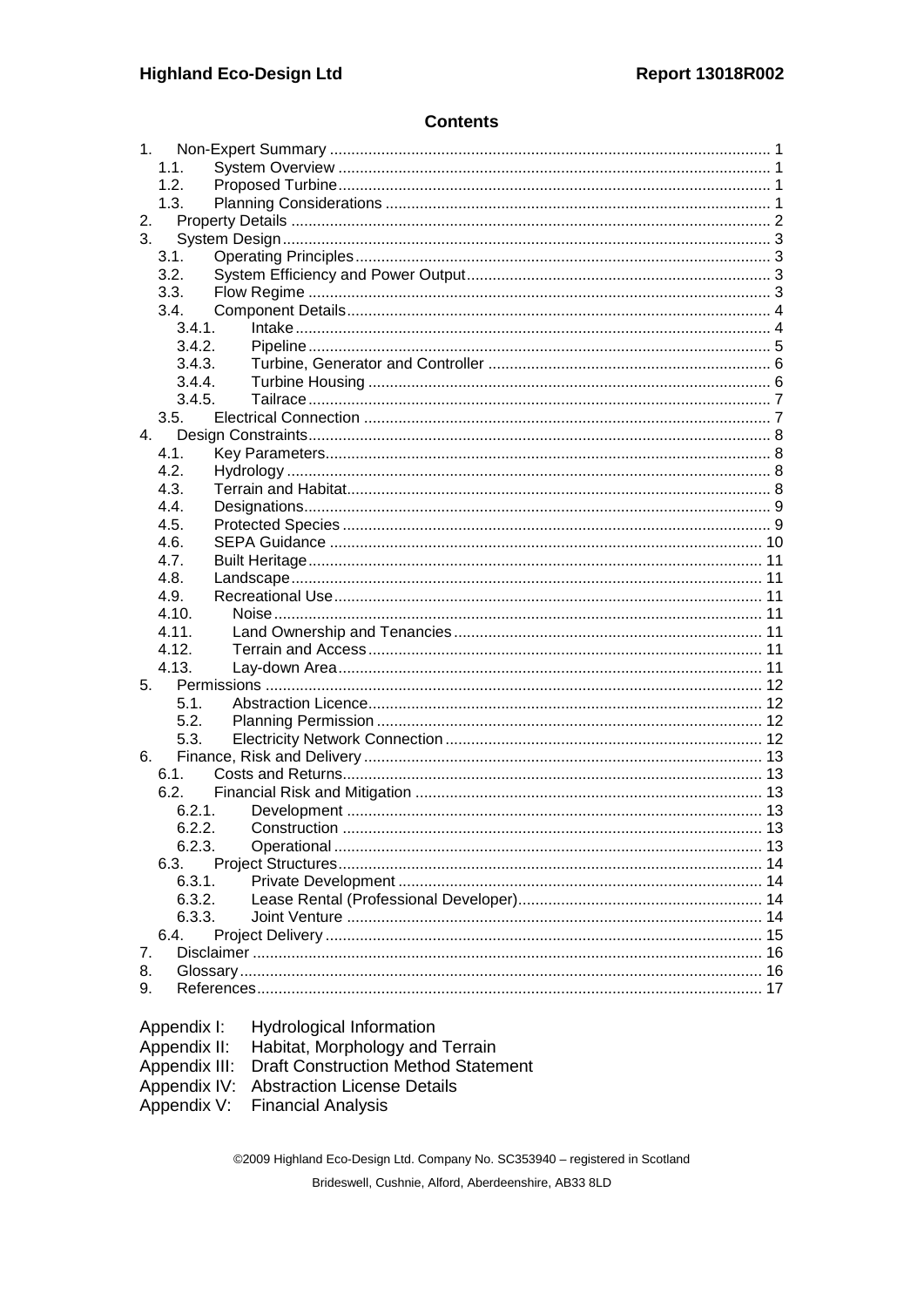#### **Contents**

|    | 1 <sub>1</sub> |                                              |  |
|----|----------------|----------------------------------------------|--|
|    | 1.1.           |                                              |  |
|    | 1.2.           |                                              |  |
|    | 1.3.           |                                              |  |
| 2. |                |                                              |  |
| 3. |                |                                              |  |
|    | 3.1.           |                                              |  |
|    | 3.2.           |                                              |  |
|    | 3.3.           |                                              |  |
|    | 3.4.           |                                              |  |
|    | 3.4.1.         |                                              |  |
|    | 3.4.2.         |                                              |  |
|    | 3.4.3.         |                                              |  |
|    | 3.4.4.         |                                              |  |
|    | 3.4.5.         |                                              |  |
|    | 3.5.           |                                              |  |
| 4. |                |                                              |  |
|    | 4.1.           |                                              |  |
|    | 4.2.           |                                              |  |
|    | 4.3.           |                                              |  |
|    | 4.4.           |                                              |  |
|    | 4.5.           |                                              |  |
|    | 4.6.           |                                              |  |
|    | 4.7.           |                                              |  |
|    | 4.8.           |                                              |  |
|    | 4.9.           |                                              |  |
|    | 4.10.          |                                              |  |
|    | 4.11.          |                                              |  |
|    | 4.12.          |                                              |  |
|    | 4.13.          |                                              |  |
| 5. |                |                                              |  |
|    | 5.1.           |                                              |  |
|    | 5.2.           |                                              |  |
|    | 5.3.           |                                              |  |
| 6. |                |                                              |  |
|    | 6.1.           |                                              |  |
|    | 6.2.           |                                              |  |
|    | 6.2.1.         |                                              |  |
|    | 6.2.2.         |                                              |  |
|    | 6.2.3.         |                                              |  |
|    | 6.3.           |                                              |  |
|    | 6.3.1.         |                                              |  |
|    | 6.3.2.         |                                              |  |
|    | 6.3.3.         |                                              |  |
|    | 6.4.           |                                              |  |
| 7. |                |                                              |  |
| 8. |                |                                              |  |
| 9. |                |                                              |  |
|    |                |                                              |  |
|    |                |                                              |  |
|    | Appendix I:    | Hydrological Information                     |  |
|    |                | Appendix II: Habitat, Morphology and Terrain |  |

| Appendix II: Habitat, Morphology and Terrain      |
|---------------------------------------------------|
| Appendix III: Draft Construction Method Statement |
| Appendix IV: Abstraction License Details          |
| Appendix V: Financial Analysis                    |
|                                                   |

©2009 Highland Eco-Design Ltd. Company No. SC353940 - registered in Scotland Brideswell, Cushnie, Alford, Aberdeenshire, AB33 8LD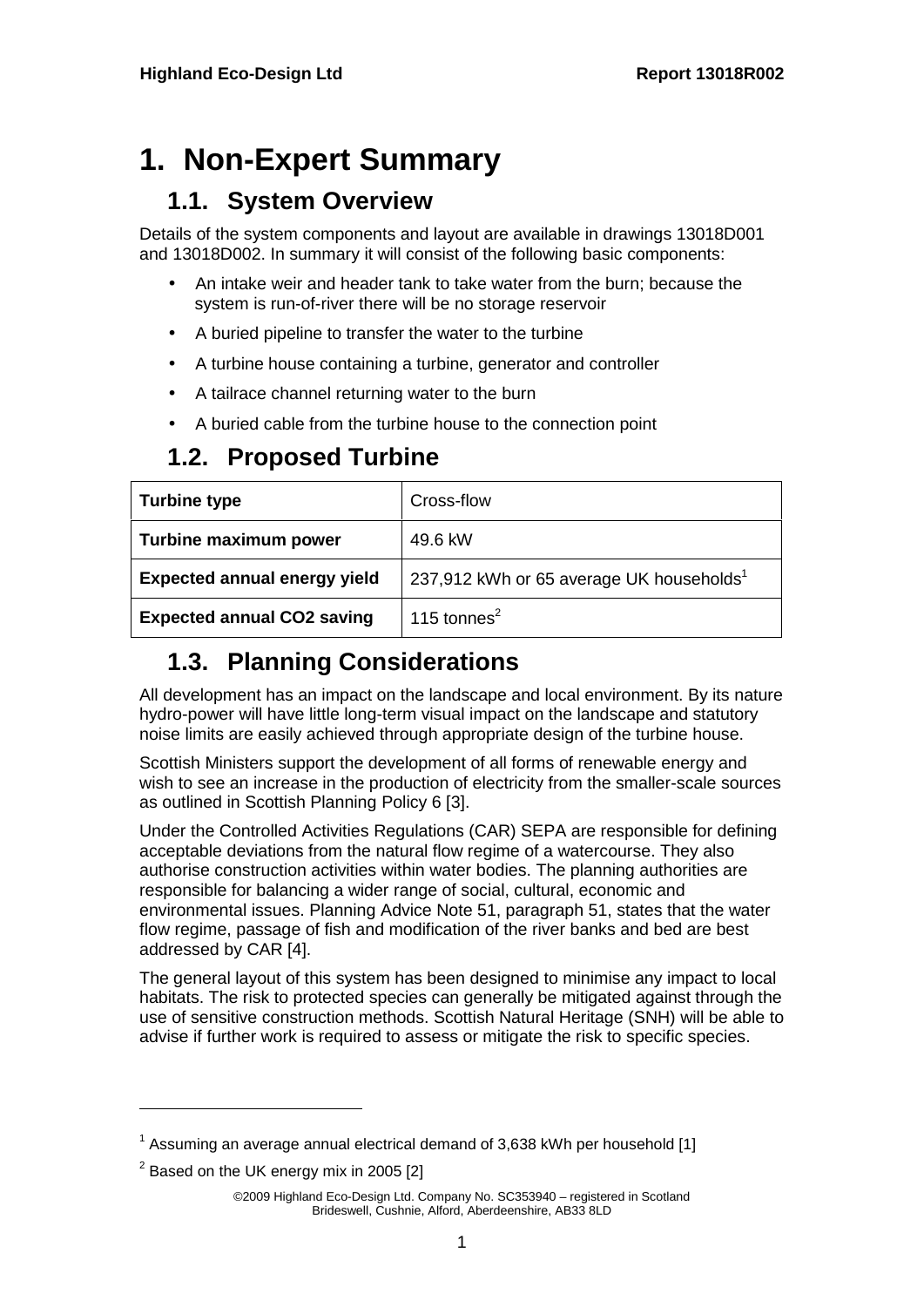# **1. Non-Expert Summary**

#### **1.1. System Overview**

Details of the system components and layout are available in drawings 13018D001 and 13018D002. In summary it will consist of the following basic components:

- An intake weir and header tank to take water from the burn; because the system is run-of-river there will be no storage reservoir
- A buried pipeline to transfer the water to the turbine
- A turbine house containing a turbine, generator and controller
- A tailrace channel returning water to the burn
- A buried cable from the turbine house to the connection point

## **1.2. Proposed Turbine**

| <b>Turbine type</b>                                                                         | Cross-flow     |
|---------------------------------------------------------------------------------------------|----------------|
| Turbine maximum power                                                                       | 49.6 kW        |
| 237,912 kWh or 65 average UK households <sup>1</sup><br><b>Expected annual energy yield</b> |                |
| <b>Expected annual CO2 saving</b>                                                           | 115 tonnes $2$ |

## **1.3. Planning Considerations**

All development has an impact on the landscape and local environment. By its nature hydro-power will have little long-term visual impact on the landscape and statutory noise limits are easily achieved through appropriate design of the turbine house.

Scottish Ministers support the development of all forms of renewable energy and wish to see an increase in the production of electricity from the smaller-scale sources as outlined in Scottish Planning Policy 6 [3].

Under the Controlled Activities Regulations (CAR) SEPA are responsible for defining acceptable deviations from the natural flow regime of a watercourse. They also authorise construction activities within water bodies. The planning authorities are responsible for balancing a wider range of social, cultural, economic and environmental issues. Planning Advice Note 51, paragraph 51, states that the water flow regime, passage of fish and modification of the river banks and bed are best addressed by CAR [4].

The general layout of this system has been designed to minimise any impact to local habitats. The risk to protected species can generally be mitigated against through the use of sensitive construction methods. Scottish Natural Heritage (SNH) will be able to advise if further work is required to assess or mitigate the risk to specific species.

 $^{\text{1}}$  Assuming an average annual electrical demand of 3,638 kWh per household [1]

 $2$  Based on the UK energy mix in 2005 [2]

<sup>©2009</sup> Highland Eco-Design Ltd. Company No. SC353940 – registered in Scotland Brideswell, Cushnie, Alford, Aberdeenshire, AB33 8LD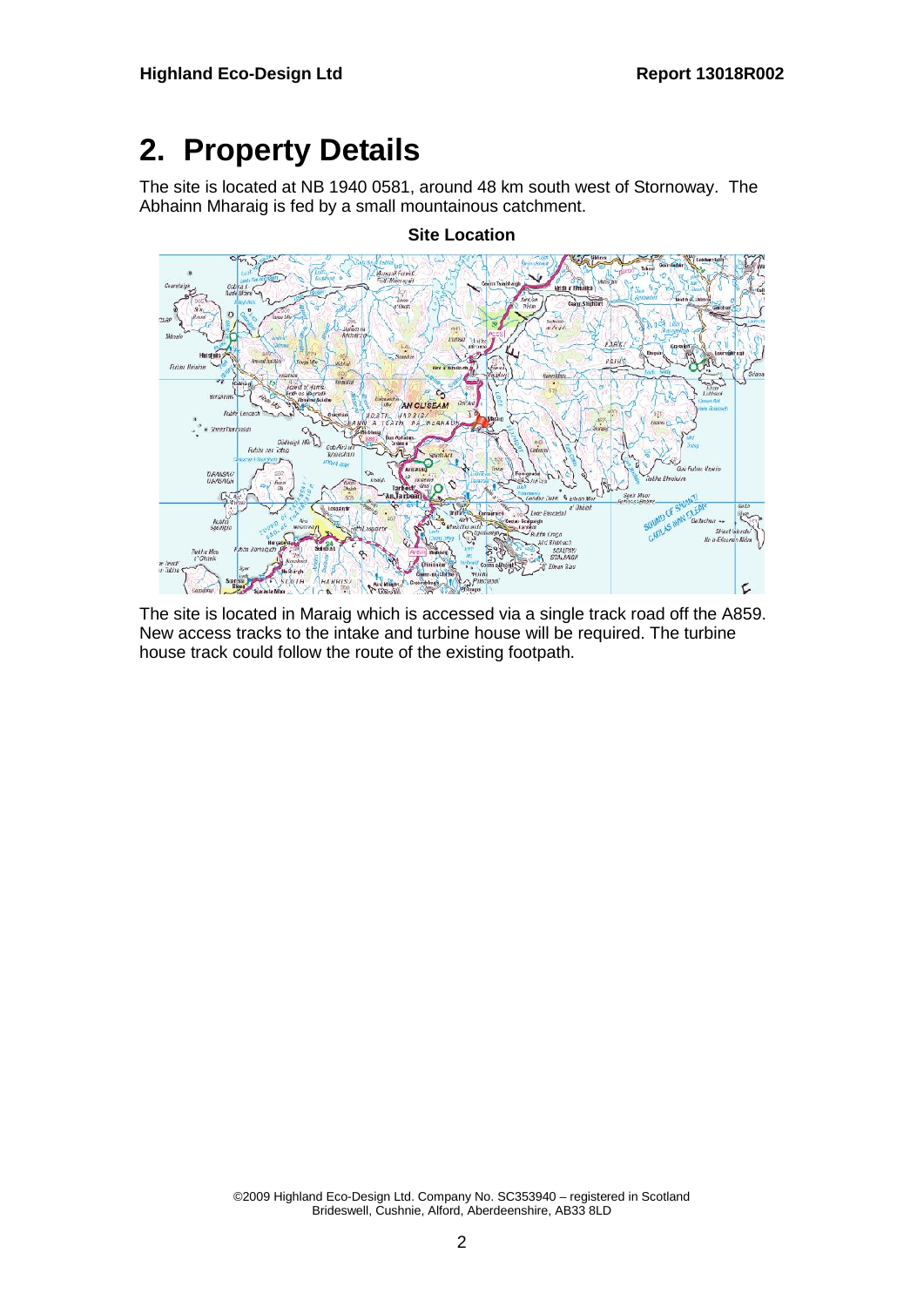# **2. Property Details**

The site is located at NB 1940 0581, around 48 km south west of Stornoway. The Abhainn Mharaig is fed by a small mountainous catchment.



**Site Location**

The site is located in Maraig which is accessed via a single track road off the A859. New access tracks to the intake and turbine house will be required. The turbine house track could follow the route of the existing footpath.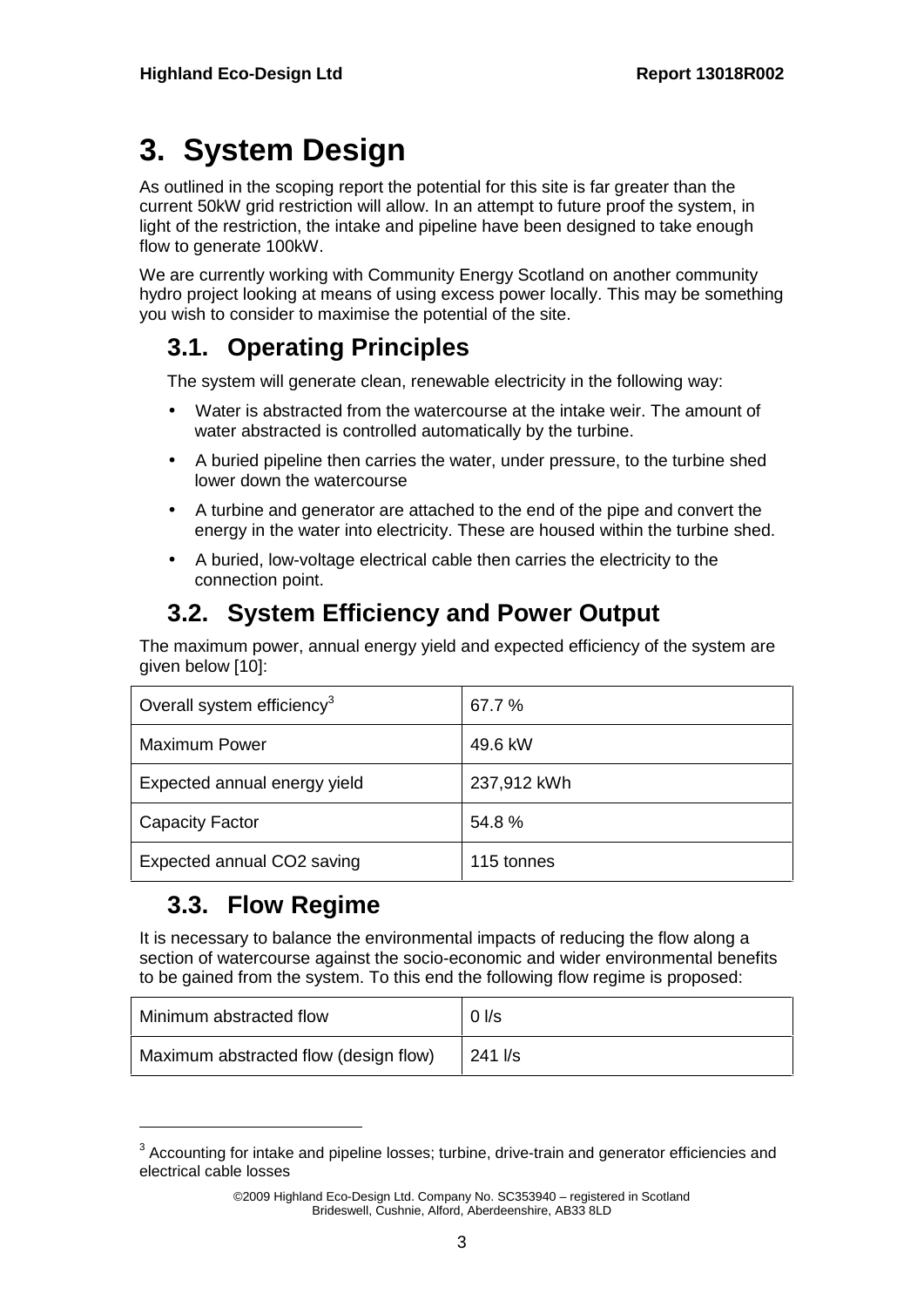# **3. System Design**

As outlined in the scoping report the potential for this site is far greater than the current 50kW grid restriction will allow. In an attempt to future proof the system, in light of the restriction, the intake and pipeline have been designed to take enough flow to generate 100kW.

We are currently working with Community Energy Scotland on another community hydro project looking at means of using excess power locally. This may be something you wish to consider to maximise the potential of the site.

## **3.1. Operating Principles**

The system will generate clean, renewable electricity in the following way:

- Water is abstracted from the watercourse at the intake weir. The amount of water abstracted is controlled automatically by the turbine.
- A buried pipeline then carries the water, under pressure, to the turbine shed lower down the watercourse
- A turbine and generator are attached to the end of the pipe and convert the energy in the water into electricity. These are housed within the turbine shed.
- A buried, low-voltage electrical cable then carries the electricity to the connection point.

## **3.2. System Efficiency and Power Output**

The maximum power, annual energy yield and expected efficiency of the system are given below [10]:

| Overall system efficiency <sup>3</sup> | 67.7 %      |
|----------------------------------------|-------------|
| <b>Maximum Power</b>                   | 49.6 kW     |
| Expected annual energy yield           | 237,912 kWh |
| <b>Capacity Factor</b>                 | 54.8%       |
| Expected annual CO2 saving             | 115 tonnes  |

## **3.3. Flow Regime**

It is necessary to balance the environmental impacts of reducing the flow along a section of watercourse against the socio-economic and wider environmental benefits to be gained from the system. To this end the following flow regime is proposed:

| Minimum abstracted flow               | $0$ I/s |
|---------------------------------------|---------|
| Maximum abstracted flow (design flow) | 241 I/s |

 $^3$  Accounting for intake and pipeline losses; turbine, drive-train and generator efficiencies and electrical cable losses

<sup>©2009</sup> Highland Eco-Design Ltd. Company No. SC353940 – registered in Scotland Brideswell, Cushnie, Alford, Aberdeenshire, AB33 8LD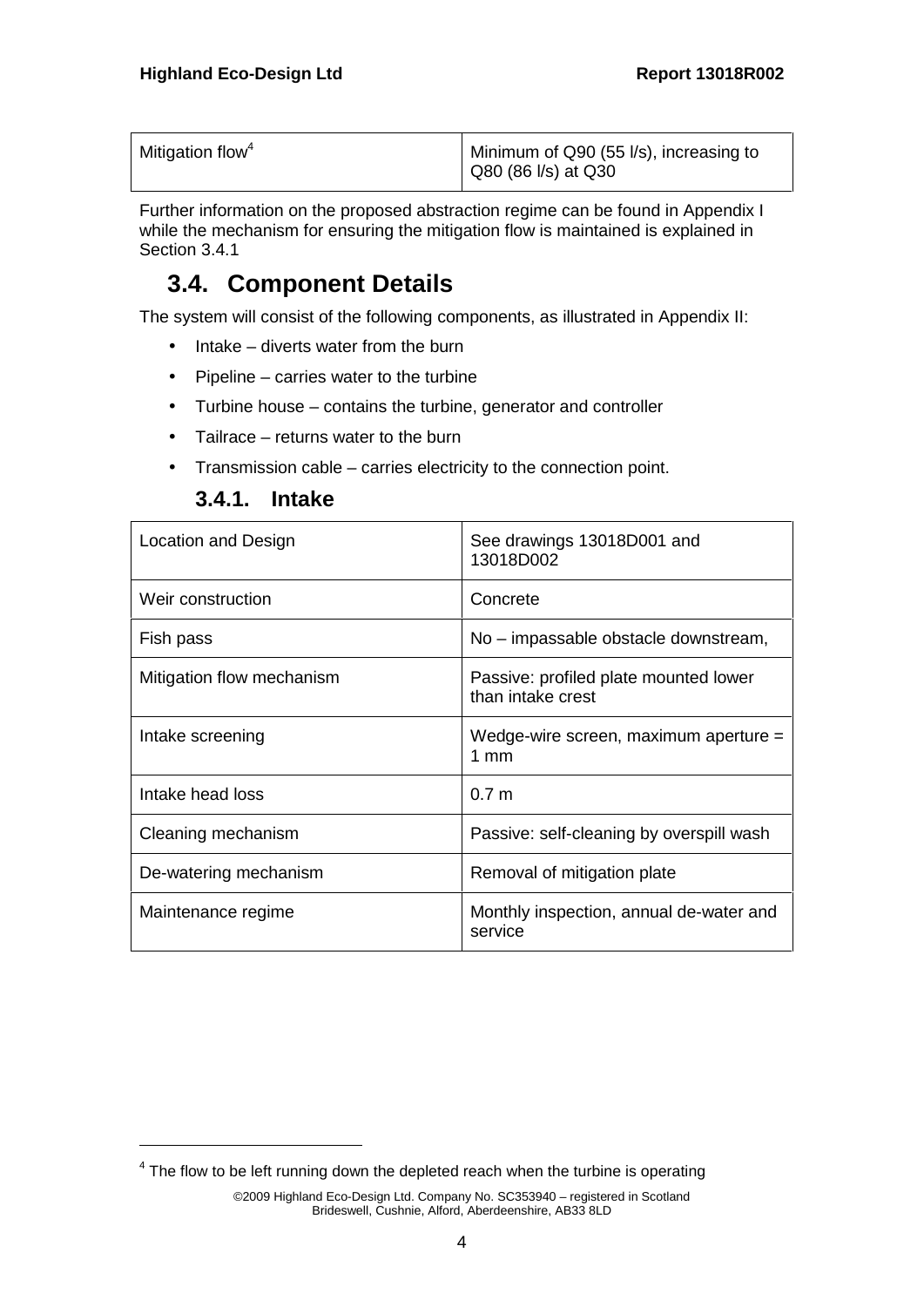| Mitigation flow <sup>4</sup> | Minimum of Q90 (55 l/s), increasing to<br>Q80 (86 l/s) at Q30 |  |
|------------------------------|---------------------------------------------------------------|--|
|                              |                                                               |  |

Further information on the proposed abstraction regime can be found in Appendix I while the mechanism for ensuring the mitigation flow is maintained is explained in Section 3.4.1

#### **3.4. Component Details**

The system will consist of the following components, as illustrated in Appendix II:

- $\bullet$  Intake diverts water from the burn
- $\bullet$  Pipeline carries water to the turbine
- Turbine house contains the turbine, generator and controller
- Tailrace returns water to the burn
- Transmission cable carries electricity to the connection point.

| <b>3.4.1.</b> Intake |  |
|----------------------|--|
|                      |  |

| Location and Design       | See drawings 13018D001 and<br>13018D002                    |
|---------------------------|------------------------------------------------------------|
| Weir construction         | Concrete                                                   |
| Fish pass                 | No – impassable obstacle downstream,                       |
| Mitigation flow mechanism | Passive: profiled plate mounted lower<br>than intake crest |
| Intake screening          | Wedge-wire screen, maximum aperture =<br>$1 \text{ mm}$    |
| Intake head loss          | 0.7 <sub>m</sub>                                           |
| Cleaning mechanism        | Passive: self-cleaning by overspill wash                   |
| De-watering mechanism     | Removal of mitigation plate                                |
| Maintenance regime        | Monthly inspection, annual de-water and<br>service         |

 $<sup>4</sup>$  The flow to be left running down the depleted reach when the turbine is operating</sup>

<sup>©2009</sup> Highland Eco-Design Ltd. Company No. SC353940 – registered in Scotland Brideswell, Cushnie, Alford, Aberdeenshire, AB33 8LD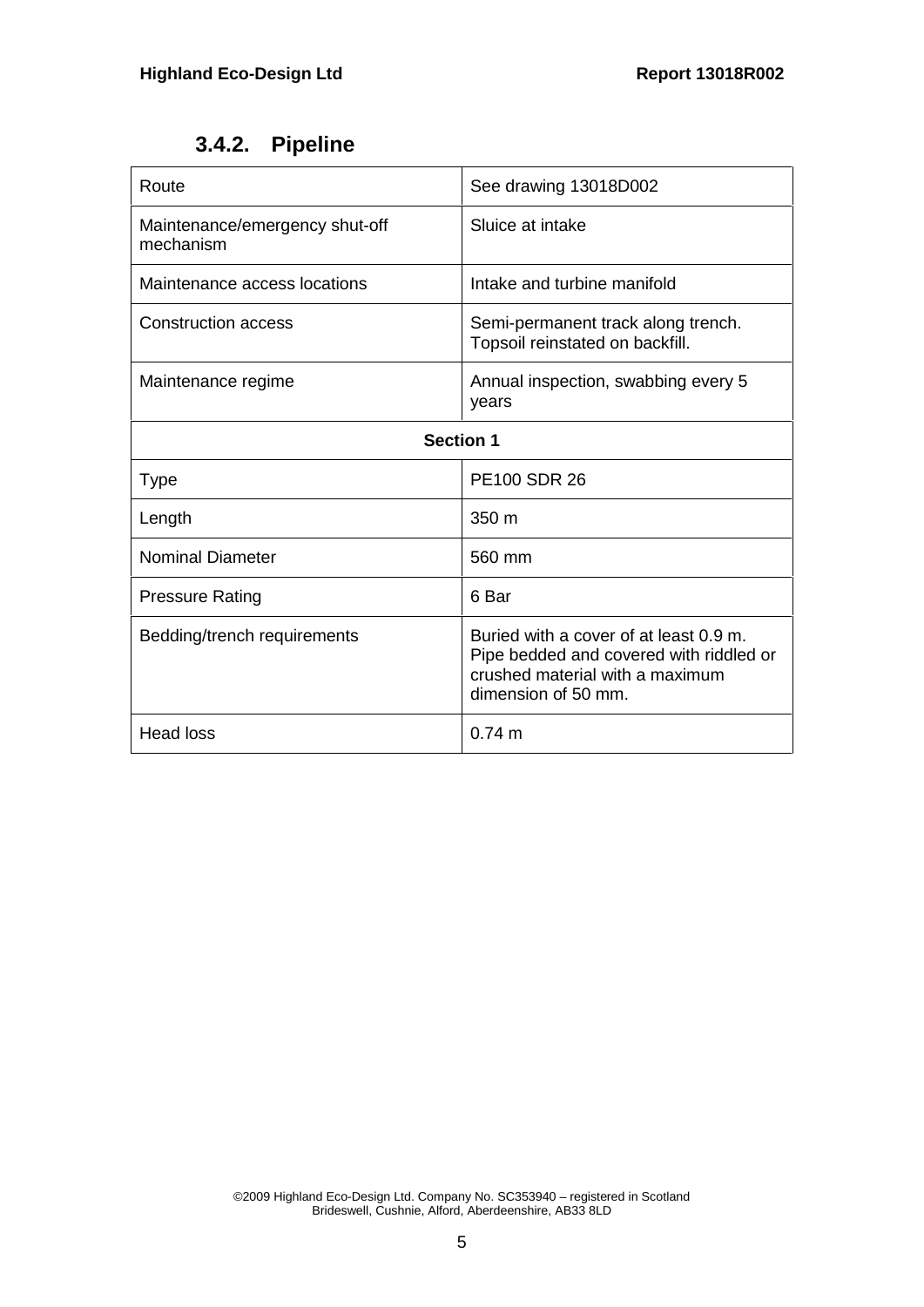#### **3.4.2. Pipeline**

| Route                                       | See drawing 13018D002                                                                                                                       |  |
|---------------------------------------------|---------------------------------------------------------------------------------------------------------------------------------------------|--|
| Maintenance/emergency shut-off<br>mechanism | Sluice at intake                                                                                                                            |  |
| Maintenance access locations                | Intake and turbine manifold                                                                                                                 |  |
| <b>Construction access</b>                  | Semi-permanent track along trench.<br>Topsoil reinstated on backfill.                                                                       |  |
| Maintenance regime                          | Annual inspection, swabbing every 5<br>years                                                                                                |  |
| <b>Section 1</b>                            |                                                                                                                                             |  |
| <b>Type</b>                                 | <b>PE100 SDR 26</b>                                                                                                                         |  |
| Length                                      | 350 m                                                                                                                                       |  |
| <b>Nominal Diameter</b>                     | 560 mm                                                                                                                                      |  |
| <b>Pressure Rating</b>                      | 6 Bar                                                                                                                                       |  |
| Bedding/trench requirements                 | Buried with a cover of at least 0.9 m.<br>Pipe bedded and covered with riddled or<br>crushed material with a maximum<br>dimension of 50 mm. |  |
| <b>Head loss</b>                            | $0.74 \text{ m}$                                                                                                                            |  |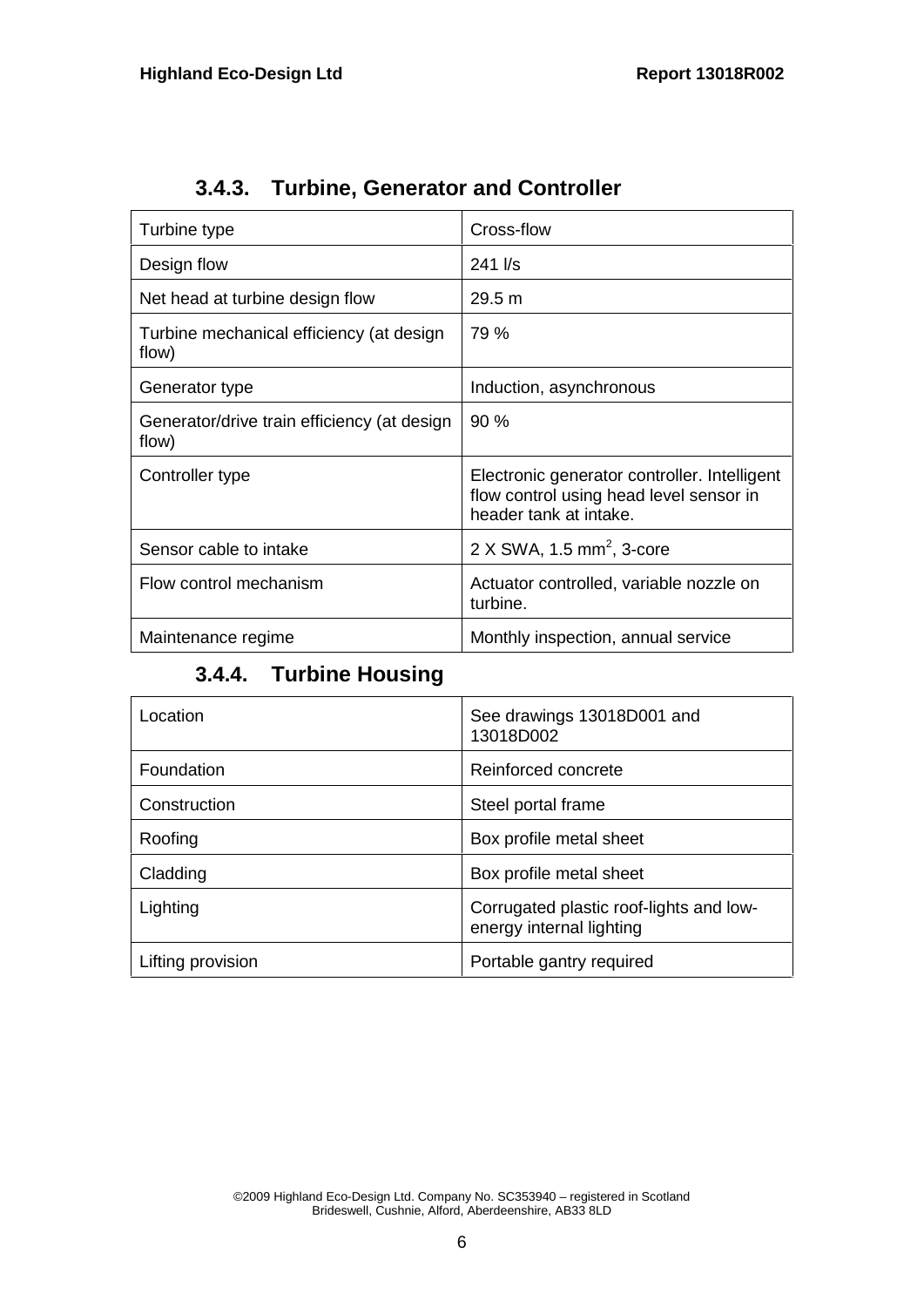| Turbine type                                         | Cross-flow                                                                                                        |
|------------------------------------------------------|-------------------------------------------------------------------------------------------------------------------|
| Design flow                                          | $241$ I/s                                                                                                         |
| Net head at turbine design flow                      | 29.5 m                                                                                                            |
| Turbine mechanical efficiency (at design<br>flow)    | 79 %                                                                                                              |
| Generator type                                       | Induction, asynchronous                                                                                           |
| Generator/drive train efficiency (at design<br>flow) | 90 %                                                                                                              |
| Controller type                                      | Electronic generator controller. Intelligent<br>flow control using head level sensor in<br>header tank at intake. |
| Sensor cable to intake                               | $2 \times$ SWA, 1.5 mm <sup>2</sup> , 3-core                                                                      |
| Flow control mechanism                               | Actuator controlled, variable nozzle on<br>turbine.                                                               |
| Maintenance regime                                   | Monthly inspection, annual service                                                                                |

**3.4.3. Turbine, Generator and Controller**

## **3.4.4. Turbine Housing**

| Location          | See drawings 13018D001 and<br>13018D002                             |
|-------------------|---------------------------------------------------------------------|
| Foundation        | Reinforced concrete                                                 |
| Construction      | Steel portal frame                                                  |
| Roofing           | Box profile metal sheet                                             |
| Cladding          | Box profile metal sheet                                             |
| Lighting          | Corrugated plastic roof-lights and low-<br>energy internal lighting |
| Lifting provision | Portable gantry required                                            |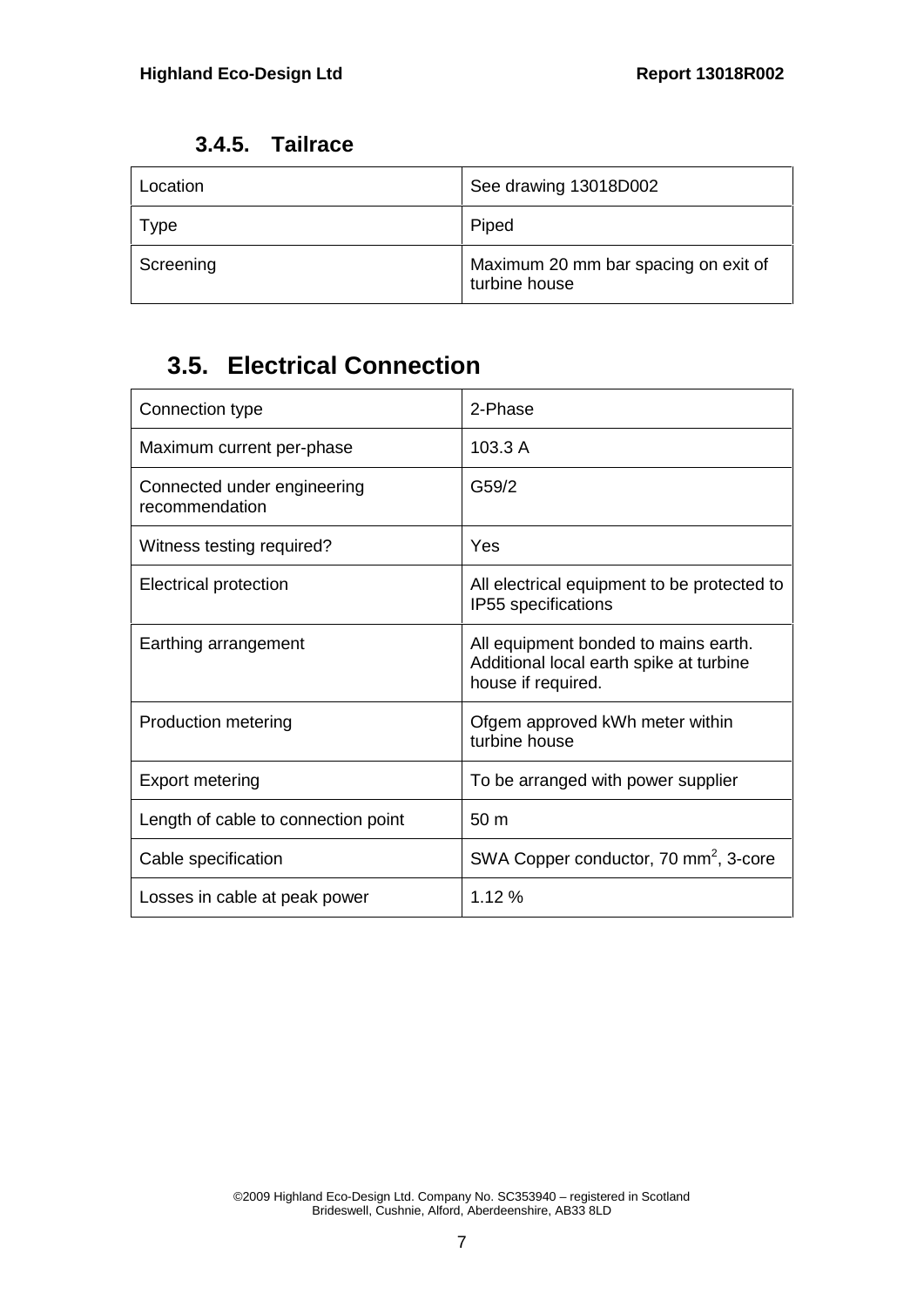| Location  | See drawing 13018D002                                 |
|-----------|-------------------------------------------------------|
| Type      | Piped                                                 |
| Screening | Maximum 20 mm bar spacing on exit of<br>turbine house |

## **3.5. Electrical Connection**

| Connection type                               | 2-Phase                                                                                               |
|-----------------------------------------------|-------------------------------------------------------------------------------------------------------|
| Maximum current per-phase                     | 103.3 A                                                                                               |
| Connected under engineering<br>recommendation | G59/2                                                                                                 |
| Witness testing required?                     | Yes                                                                                                   |
| Electrical protection                         | All electrical equipment to be protected to<br>IP55 specifications                                    |
| Earthing arrangement                          | All equipment bonded to mains earth.<br>Additional local earth spike at turbine<br>house if required. |
| <b>Production metering</b>                    | Ofgem approved kWh meter within<br>turbine house                                                      |
| Export metering                               | To be arranged with power supplier                                                                    |
| Length of cable to connection point           | 50 <sub>m</sub>                                                                                       |
| Cable specification                           | SWA Copper conductor, 70 mm <sup>2</sup> , 3-core                                                     |
| Losses in cable at peak power                 | 1.12%                                                                                                 |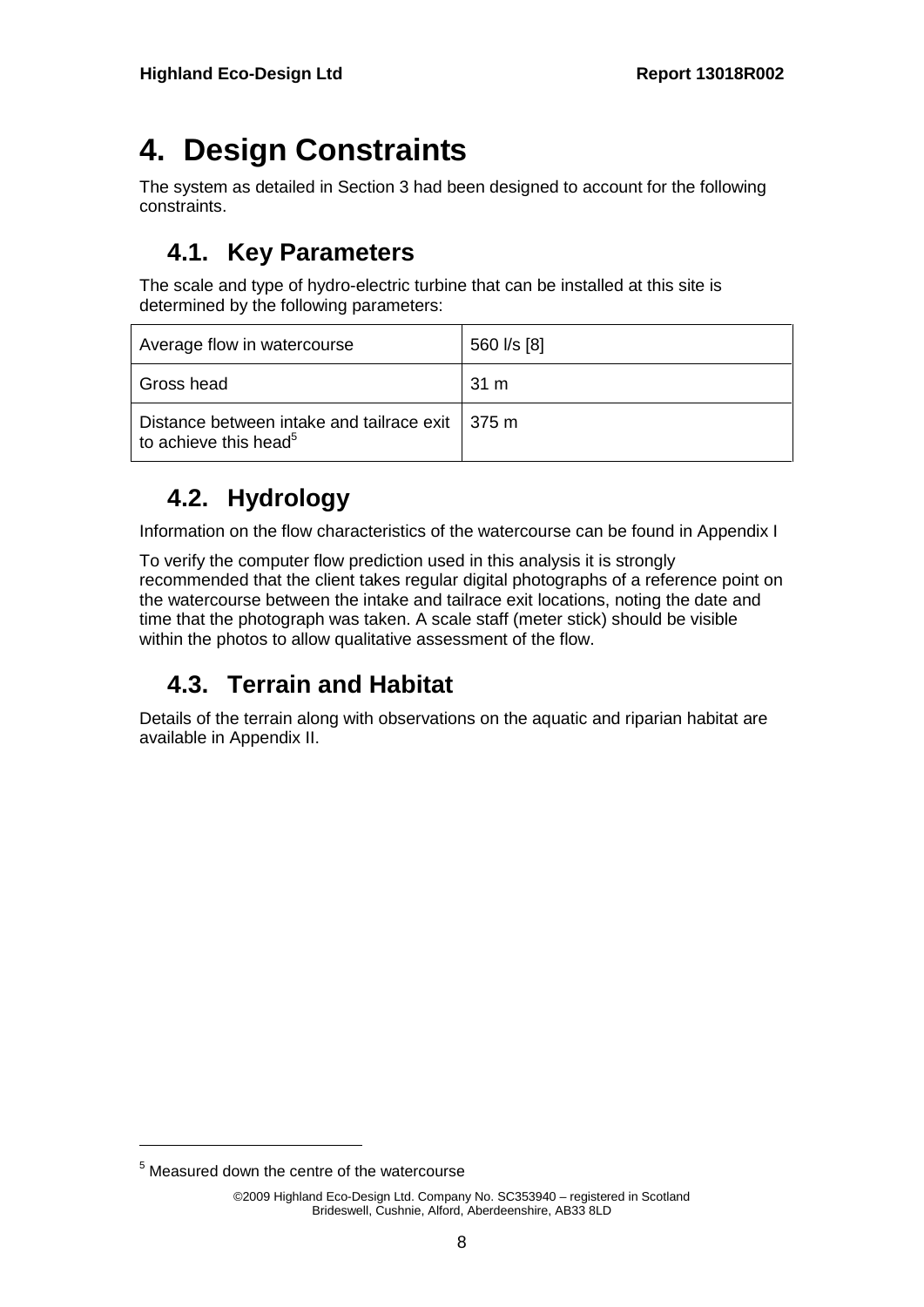# **4. Design Constraints**

The system as detailed in Section 3 had been designed to account for the following constraints.

## **4.1. Key Parameters**

The scale and type of hydro-electric turbine that can be installed at this site is determined by the following parameters:

| Average flow in watercourse                                                                      | 560 l/s [8] |
|--------------------------------------------------------------------------------------------------|-------------|
| Gross head                                                                                       | 31 m        |
| Distance between intake and tailrace exit $\parallel$ 375 m<br>to achieve this head <sup>5</sup> |             |

## **4.2. Hydrology**

Information on the flow characteristics of the watercourse can be found in Appendix I

To verify the computer flow prediction used in this analysis it is strongly recommended that the client takes regular digital photographs of a reference point on the watercourse between the intake and tailrace exit locations, noting the date and time that the photograph was taken. A scale staff (meter stick) should be visible within the photos to allow qualitative assessment of the flow.

## **4.3. Terrain and Habitat**

Details of the terrain along with observations on the aquatic and riparian habitat are available in Appendix II.

<sup>&</sup>lt;sup>5</sup> Measured down the centre of the watercourse

<sup>©2009</sup> Highland Eco-Design Ltd. Company No. SC353940 – registered in Scotland Brideswell, Cushnie, Alford, Aberdeenshire, AB33 8LD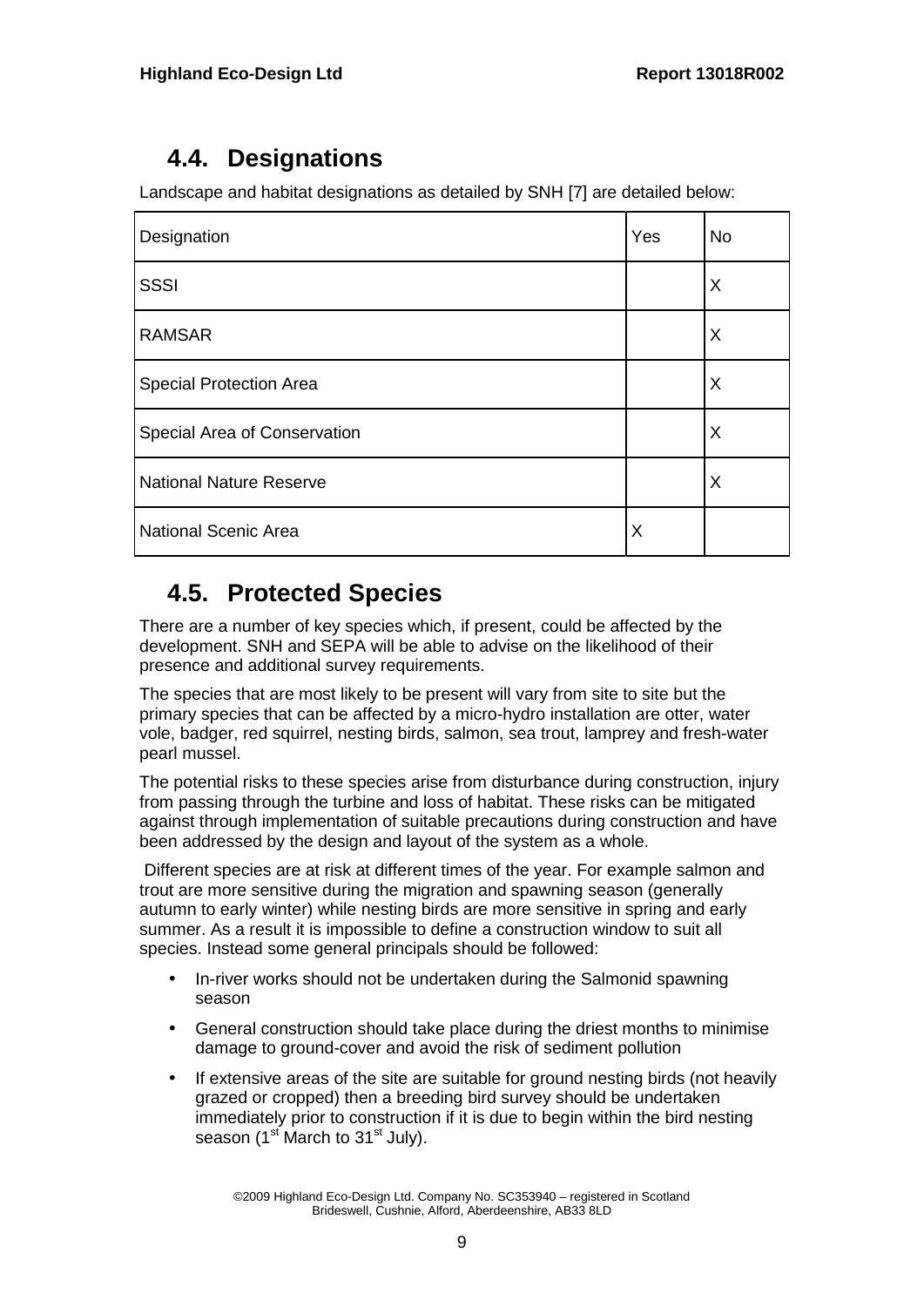## **4.4. Designations**

Landscape and habitat designations as detailed by SNH [7] are detailed below:

| Designation                    | Yes      | <b>No</b> |
|--------------------------------|----------|-----------|
| <b>SSSI</b>                    |          | X         |
| <b>RAMSAR</b>                  |          | X         |
| <b>Special Protection Area</b> |          | X         |
| Special Area of Conservation   |          | X         |
| <b>National Nature Reserve</b> |          | X         |
| <b>National Scenic Area</b>    | $\times$ |           |

## **4.5. Protected Species**

There are a number of key species which, if present, could be affected by the development. SNH and SEPA will be able to advise on the likelihood of their presence and additional survey requirements.

The species that are most likely to be present will vary from site to site but the primary species that can be affected by a micro-hydro installation are otter, water vole, badger, red squirrel, nesting birds, salmon, sea trout, lamprey and fresh-water pearl mussel.

The potential risks to these species arise from disturbance during construction, injury from passing through the turbine and loss of habitat. These risks can be mitigated against through implementation of suitable precautions during construction and have been addressed by the design and layout of the system as a whole.

Different species are at risk at different times of the year. For example salmon and trout are more sensitive during the migration and spawning season (generally autumn to early winter) while nesting birds are more sensitive in spring and early summer. As a result it is impossible to define a construction window to suit all species. Instead some general principals should be followed:

- In-river works should not be undertaken during the Salmonid spawning season
- General construction should take place during the driest months to minimise damage to ground-cover and avoid the risk of sediment pollution
- If extensive areas of the site are suitable for ground nesting birds (not heavily grazed or cropped) then a breeding bird survey should be undertaken immediately prior to construction if it is due to begin within the bird nesting season  $(1<sup>st</sup> March to 31<sup>st</sup> July).$

©2009 Highland Eco-Design Ltd. Company No. SC353940 – registered in Scotland Brideswell, Cushnie, Alford, Aberdeenshire, AB33 8LD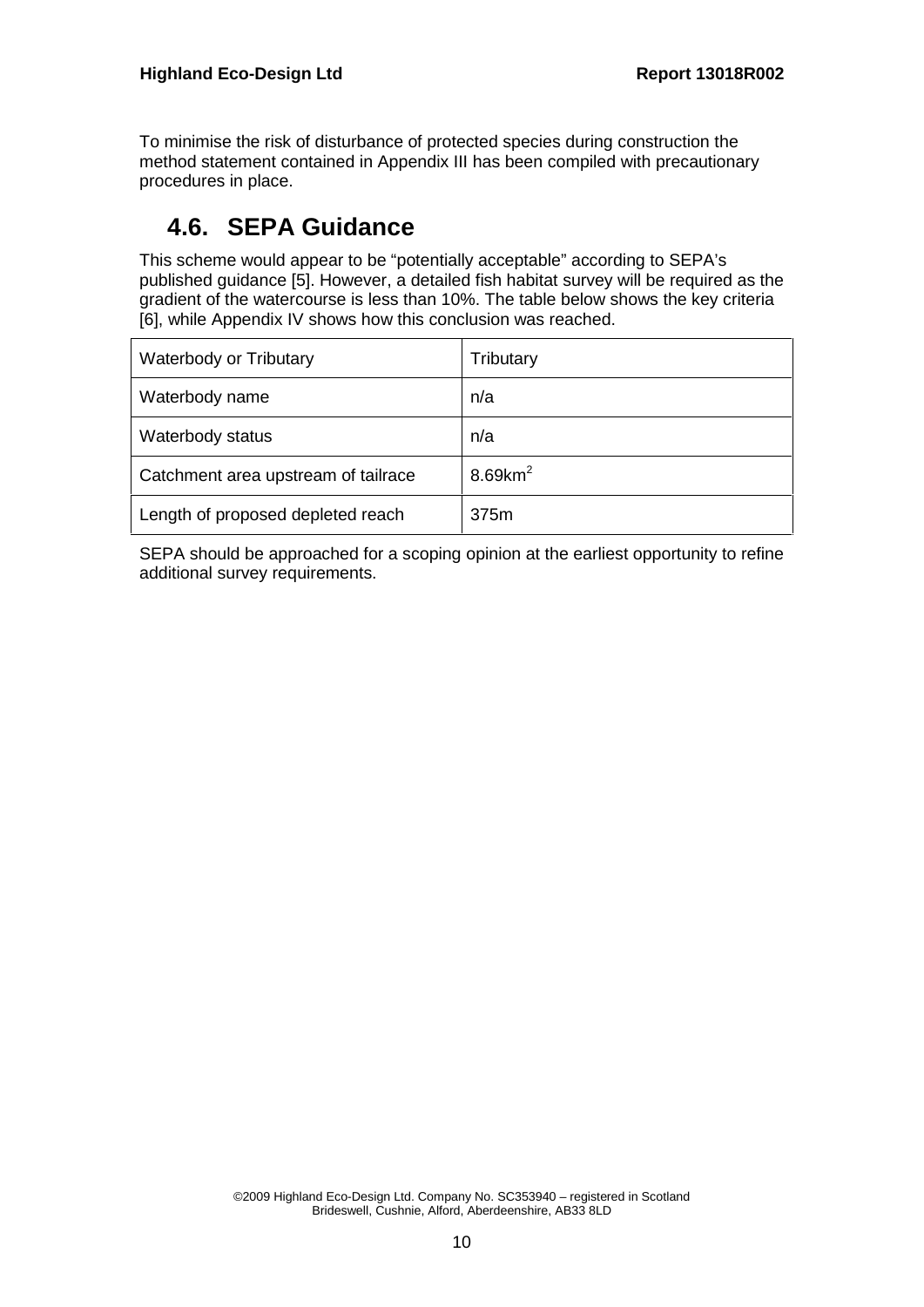To minimise the risk of disturbance of protected species during construction the method statement contained in Appendix III has been compiled with precautionary procedures in place.

#### **4.6. SEPA Guidance**

This scheme would appear to be "potentially acceptable" according to SEPA's published guidance [5]. However, a detailed fish habitat survey will be required as the gradient of the watercourse is less than 10%. The table below shows the key criteria [6], while Appendix IV shows how this conclusion was reached.

| Waterbody or Tributary              | Tributary              |
|-------------------------------------|------------------------|
| Waterbody name                      | n/a                    |
| Waterbody status                    | n/a                    |
| Catchment area upstream of tailrace | $8.69$ km <sup>2</sup> |
| Length of proposed depleted reach   | 375m                   |

SEPA should be approached for a scoping opinion at the earliest opportunity to refine additional survey requirements.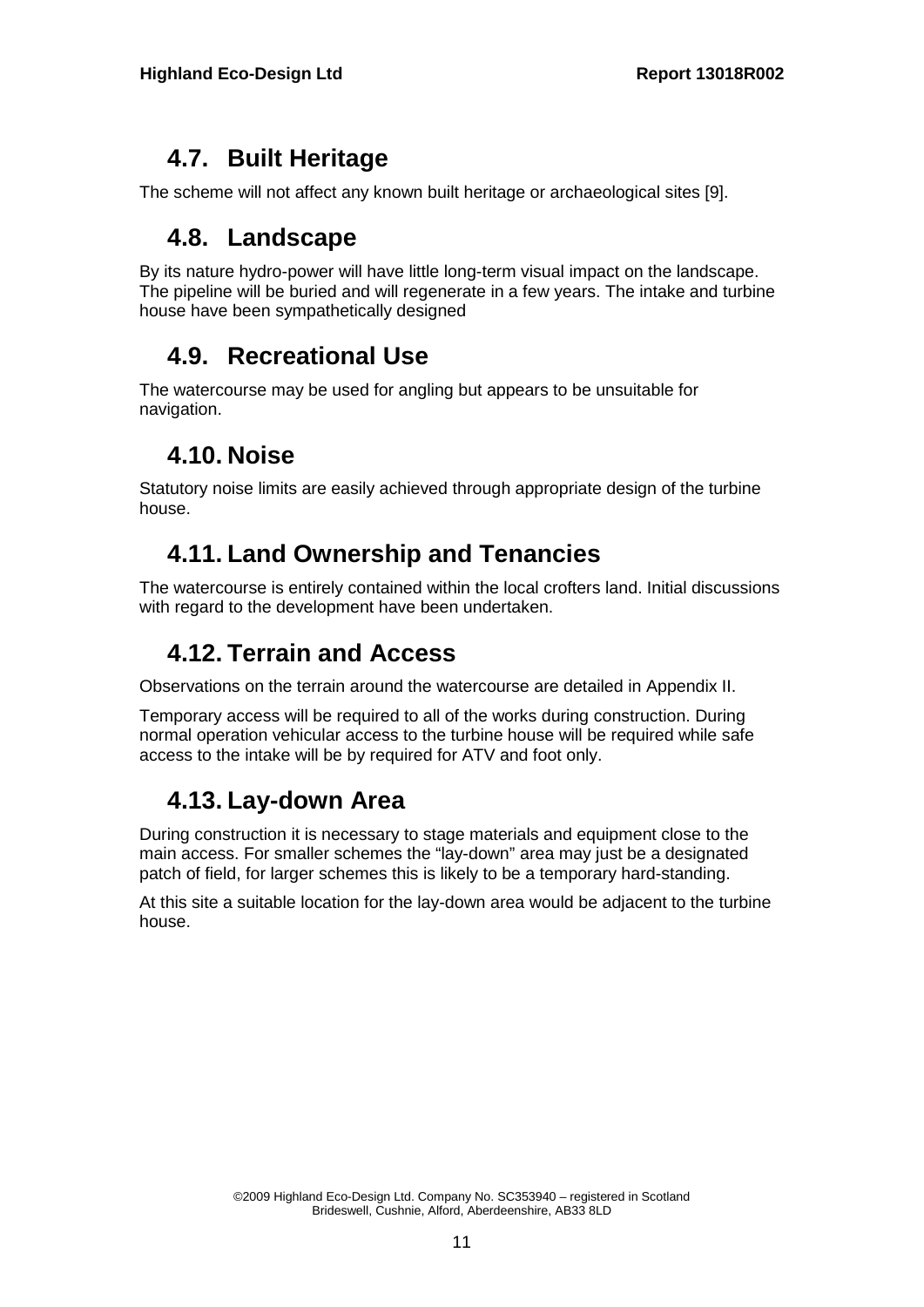### **4.7. Built Heritage**

The scheme will not affect any known built heritage or archaeological sites [9].

#### **4.8. Landscape**

By its nature hydro-power will have little long-term visual impact on the landscape. The pipeline will be buried and will regenerate in a few years. The intake and turbine house have been sympathetically designed

### **4.9. Recreational Use**

The watercourse may be used for angling but appears to be unsuitable for navigation.

### **4.10. Noise**

Statutory noise limits are easily achieved through appropriate design of the turbine house.

### **4.11. Land Ownership and Tenancies**

The watercourse is entirely contained within the local crofters land. Initial discussions with regard to the development have been undertaken.

### **4.12. Terrain and Access**

Observations on the terrain around the watercourse are detailed in Appendix II.

Temporary access will be required to all of the works during construction. During normal operation vehicular access to the turbine house will be required while safe access to the intake will be by required for ATV and foot only.

#### **4.13. Lay-down Area**

During construction it is necessary to stage materials and equipment close to the main access. For smaller schemes the "lay-down" area may just be a designated patch of field, for larger schemes this is likely to be a temporary hard-standing.

At this site a suitable location for the lay-down area would be adjacent to the turbine house.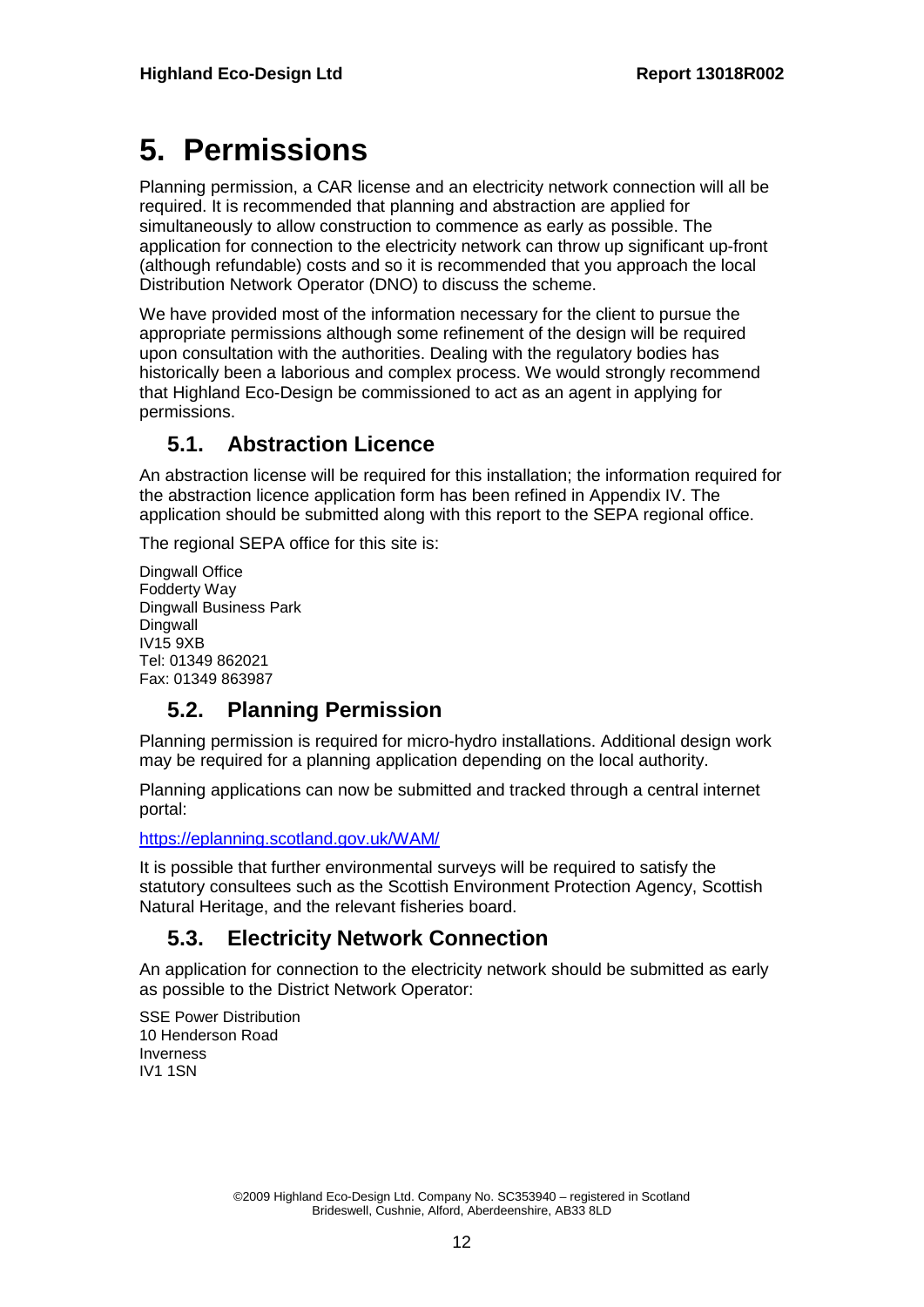# **5. Permissions**

Planning permission, a CAR license and an electricity network connection will all be required. It is recommended that planning and abstraction are applied for simultaneously to allow construction to commence as early as possible. The application for connection to the electricity network can throw up significant up-front (although refundable) costs and so it is recommended that you approach the local Distribution Network Operator (DNO) to discuss the scheme.

We have provided most of the information necessary for the client to pursue the appropriate permissions although some refinement of the design will be required upon consultation with the authorities. Dealing with the regulatory bodies has historically been a laborious and complex process. We would strongly recommend that Highland Eco-Design be commissioned to act as an agent in applying for permissions.

#### **5.1. Abstraction Licence**

An abstraction license will be required for this installation; the information required for the abstraction licence application form has been refined in Appendix IV. The application should be submitted along with this report to the SEPA regional office.

The regional SEPA office for this site is:

Dingwall Office Fodderty Way Dingwall Business Park Dingwall IV15 9XB Tel: 01349 862021 Fax: 01349 863987

#### **5.2. Planning Permission**

Planning permission is required for micro-hydro installations. Additional design work may be required for a planning application depending on the local authority.

Planning applications can now be submitted and tracked through a central internet portal:

https://eplanning.scotland.gov.uk/WAM/

It is possible that further environmental surveys will be required to satisfy the statutory consultees such as the Scottish Environment Protection Agency, Scottish Natural Heritage, and the relevant fisheries board.

#### **5.3. Electricity Network Connection**

An application for connection to the electricity network should be submitted as early as possible to the District Network Operator:

SSE Power Distribution 10 Henderson Road Inverness IV1 1SN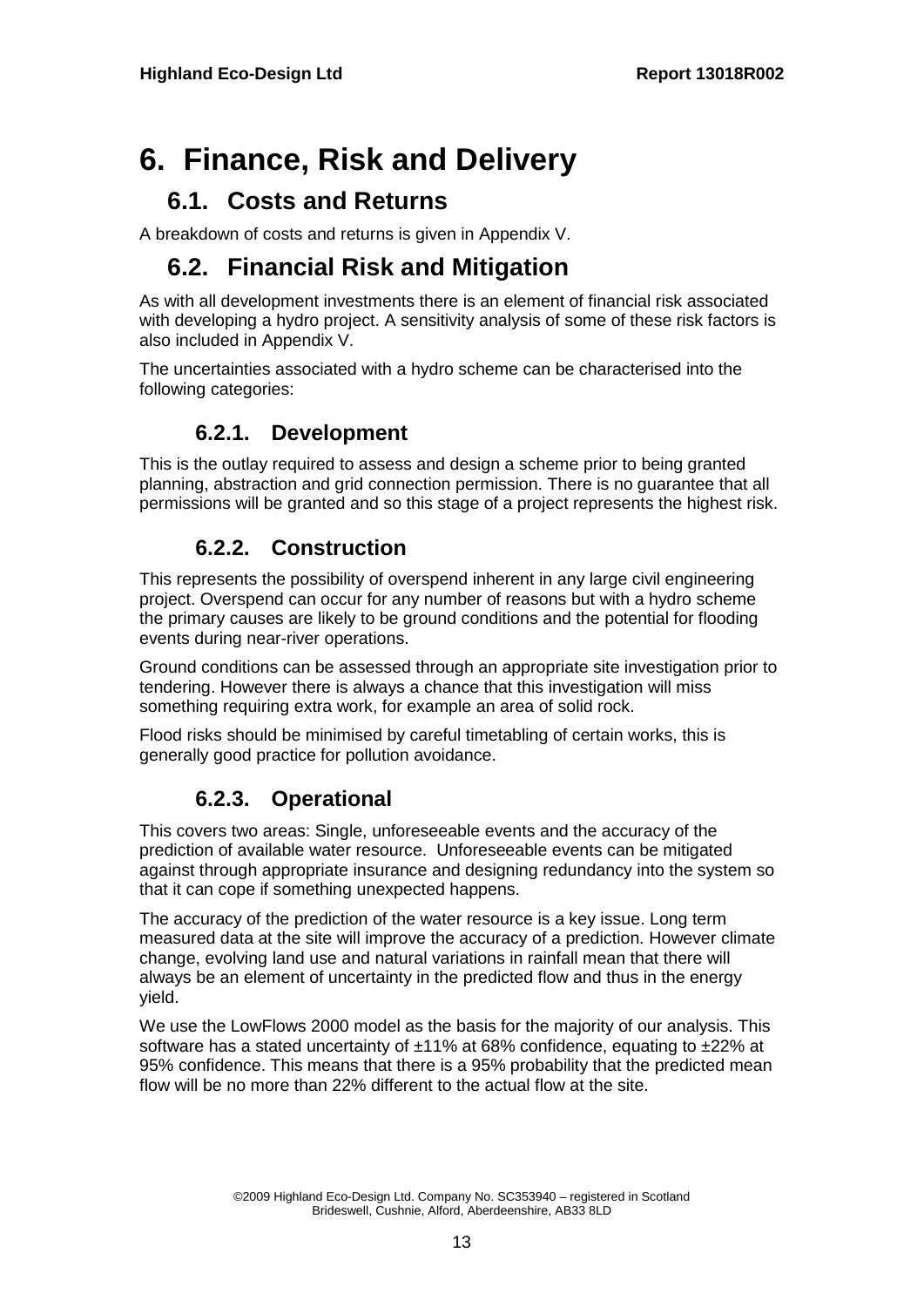# **6. Finance, Risk and Delivery**

#### **6.1. Costs and Returns**

A breakdown of costs and returns is given in Appendix V.

#### **6.2. Financial Risk and Mitigation**

As with all development investments there is an element of financial risk associated with developing a hydro project. A sensitivity analysis of some of these risk factors is also included in Appendix V.

The uncertainties associated with a hydro scheme can be characterised into the following categories:

#### **6.2.1. Development**

This is the outlay required to assess and design a scheme prior to being granted planning, abstraction and grid connection permission. There is no guarantee that all permissions will be granted and so this stage of a project represents the highest risk.

#### **6.2.2. Construction**

This represents the possibility of overspend inherent in any large civil engineering project. Overspend can occur for any number of reasons but with a hydro scheme the primary causes are likely to be ground conditions and the potential for flooding events during near-river operations.

Ground conditions can be assessed through an appropriate site investigation prior to tendering. However there is always a chance that this investigation will miss something requiring extra work, for example an area of solid rock.

Flood risks should be minimised by careful timetabling of certain works, this is generally good practice for pollution avoidance.

#### **6.2.3. Operational**

This covers two areas: Single, unforeseeable events and the accuracy of the prediction of available water resource. Unforeseeable events can be mitigated against through appropriate insurance and designing redundancy into the system so that it can cope if something unexpected happens.

The accuracy of the prediction of the water resource is a key issue. Long term measured data at the site will improve the accuracy of a prediction. However climate change, evolving land use and natural variations in rainfall mean that there will always be an element of uncertainty in the predicted flow and thus in the energy yield.

We use the LowFlows 2000 model as the basis for the majority of our analysis. This software has a stated uncertainty of ±11% at 68% confidence, equating to ±22% at 95% confidence. This means that there is a 95% probability that the predicted mean flow will be no more than 22% different to the actual flow at the site.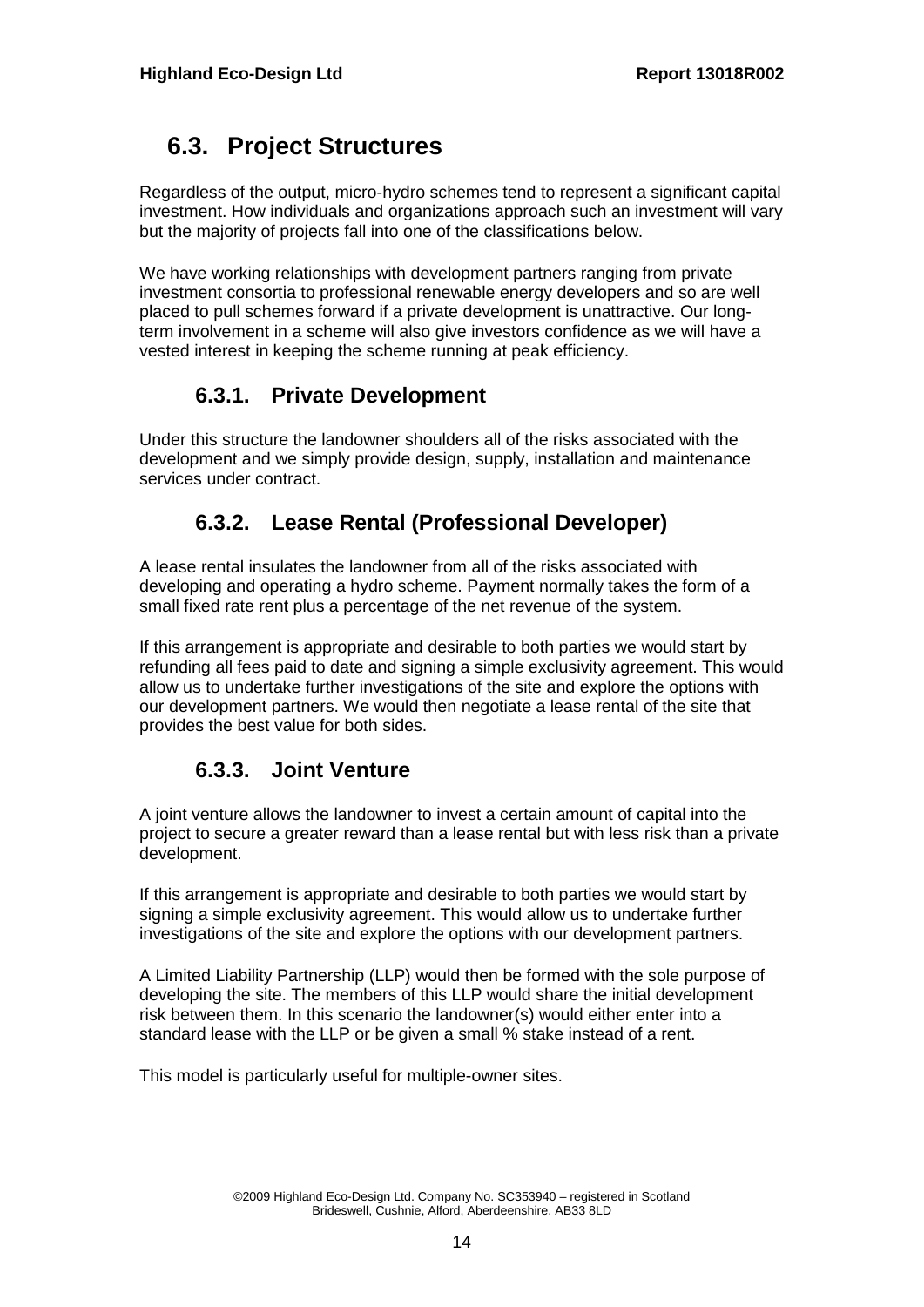#### **6.3. Project Structures**

Regardless of the output, micro-hydro schemes tend to represent a significant capital investment. How individuals and organizations approach such an investment will vary but the majority of projects fall into one of the classifications below.

We have working relationships with development partners ranging from private investment consortia to professional renewable energy developers and so are well placed to pull schemes forward if a private development is unattractive. Our longterm involvement in a scheme will also give investors confidence as we will have a vested interest in keeping the scheme running at peak efficiency.

#### **6.3.1. Private Development**

Under this structure the landowner shoulders all of the risks associated with the development and we simply provide design, supply, installation and maintenance services under contract.

#### **6.3.2. Lease Rental (Professional Developer)**

A lease rental insulates the landowner from all of the risks associated with developing and operating a hydro scheme. Payment normally takes the form of a small fixed rate rent plus a percentage of the net revenue of the system.

If this arrangement is appropriate and desirable to both parties we would start by refunding all fees paid to date and signing a simple exclusivity agreement. This would allow us to undertake further investigations of the site and explore the options with our development partners. We would then negotiate a lease rental of the site that provides the best value for both sides.

#### **6.3.3. Joint Venture**

A joint venture allows the landowner to invest a certain amount of capital into the project to secure a greater reward than a lease rental but with less risk than a private development.

If this arrangement is appropriate and desirable to both parties we would start by signing a simple exclusivity agreement. This would allow us to undertake further investigations of the site and explore the options with our development partners.

A Limited Liability Partnership (LLP) would then be formed with the sole purpose of developing the site. The members of this LLP would share the initial development risk between them. In this scenario the landowner(s) would either enter into a standard lease with the LLP or be given a small % stake instead of a rent.

This model is particularly useful for multiple-owner sites.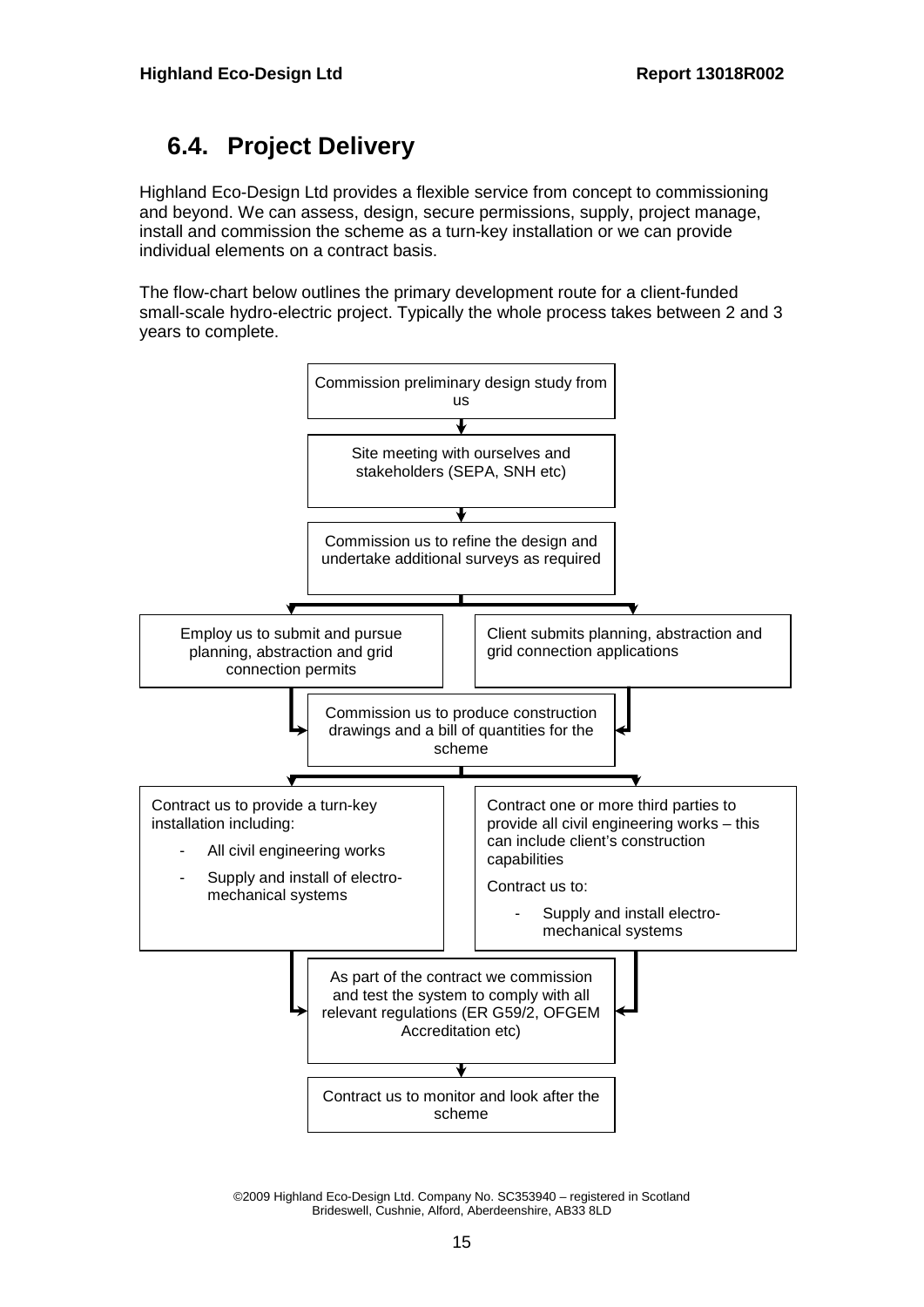### **6.4. Project Delivery**

Highland Eco-Design Ltd provides a flexible service from concept to commissioning and beyond. We can assess, design, secure permissions, supply, project manage, install and commission the scheme as a turn-key installation or we can provide individual elements on a contract basis.

The flow-chart below outlines the primary development route for a client-funded small-scale hydro-electric project. Typically the whole process takes between 2 and 3 years to complete.



©2009 Highland Eco-Design Ltd. Company No. SC353940 – registered in Scotland Brideswell, Cushnie, Alford, Aberdeenshire, AB33 8LD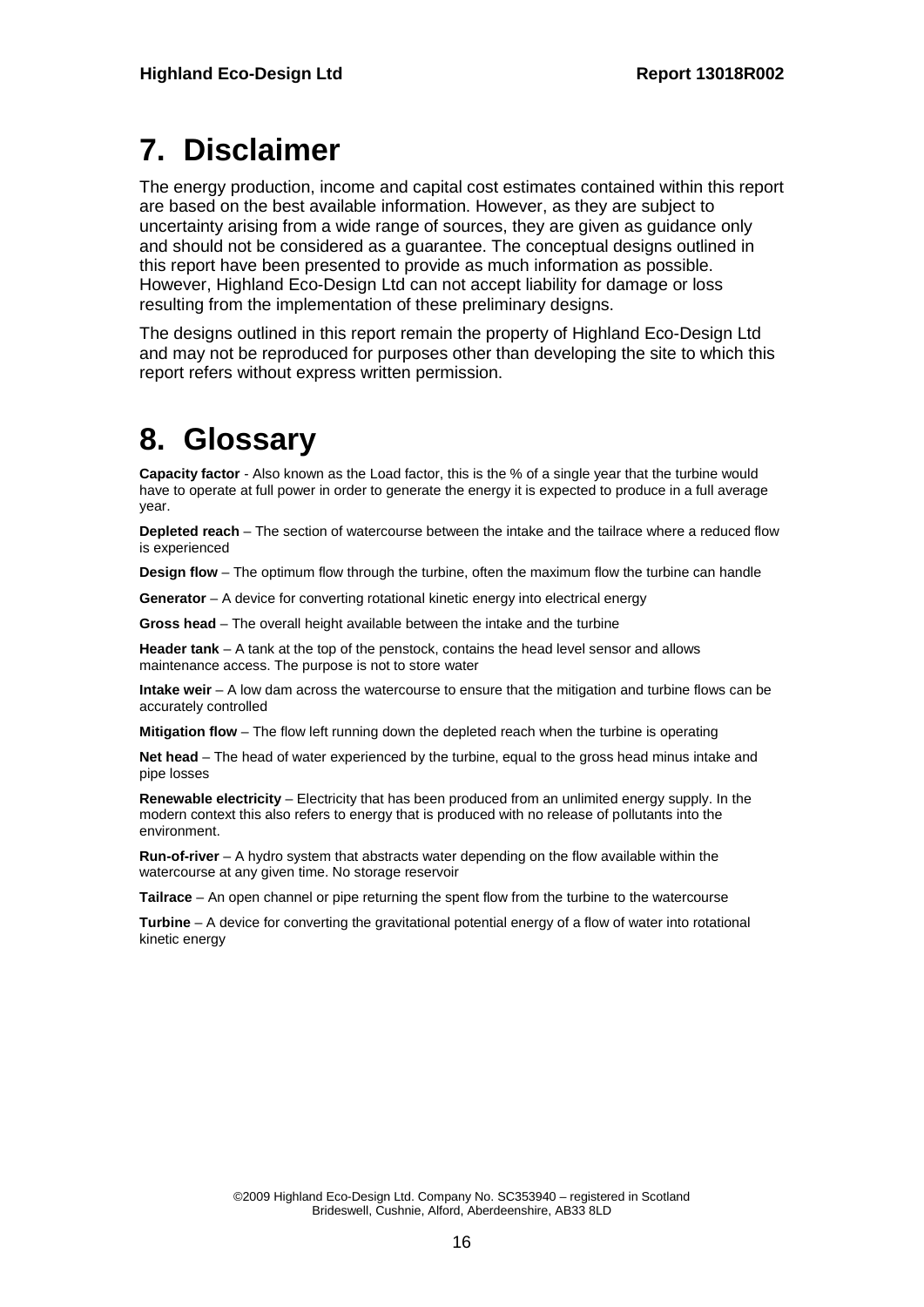# **7. Disclaimer**

The energy production, income and capital cost estimates contained within this report are based on the best available information. However, as they are subject to uncertainty arising from a wide range of sources, they are given as guidance only and should not be considered as a guarantee. The conceptual designs outlined in this report have been presented to provide as much information as possible. However, Highland Eco-Design Ltd can not accept liability for damage or loss resulting from the implementation of these preliminary designs.

The designs outlined in this report remain the property of Highland Eco-Design Ltd and may not be reproduced for purposes other than developing the site to which this report refers without express written permission.

# **8. Glossary**

**Capacity factor** - Also known as the Load factor, this is the % of a single year that the turbine would have to operate at full power in order to generate the energy it is expected to produce in a full average year.

**Depleted reach** – The section of watercourse between the intake and the tailrace where a reduced flow is experienced

**Design flow** – The optimum flow through the turbine, often the maximum flow the turbine can handle

**Generator** – A device for converting rotational kinetic energy into electrical energy

**Gross head** – The overall height available between the intake and the turbine

**Header tank** – A tank at the top of the penstock, contains the head level sensor and allows maintenance access. The purpose is not to store water

**Intake weir** – A low dam across the watercourse to ensure that the mitigation and turbine flows can be accurately controlled

**Mitigation flow** – The flow left running down the depleted reach when the turbine is operating

**Net head** – The head of water experienced by the turbine, equal to the gross head minus intake and pipe losses

**Renewable electricity** – Electricity that has been produced from an unlimited energy supply. In the modern context this also refers to energy that is produced with no release of pollutants into the environment.

**Run-of-river** – A hydro system that abstracts water depending on the flow available within the watercourse at any given time. No storage reservoir

**Tailrace** – An open channel or pipe returning the spent flow from the turbine to the watercourse

**Turbine** – A device for converting the gravitational potential energy of a flow of water into rotational kinetic energy